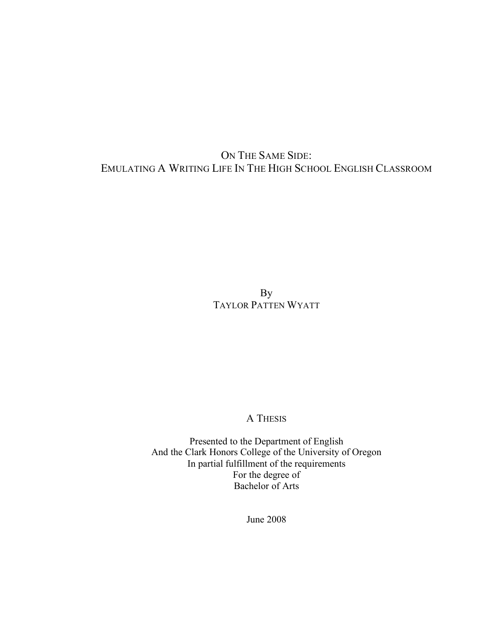## ON THE SAME SIDE: EMULATING A WRITING LIFE IN THE HIGH SCHOOL ENGLISH CLASSROOM

By TAYLOR PATTEN WYATT

## A THESIS

Presented to the Department of English And the Clark Honors College of the University of Oregon In partial fulfillment of the requirements For the degree of Bachelor of Arts

June 2008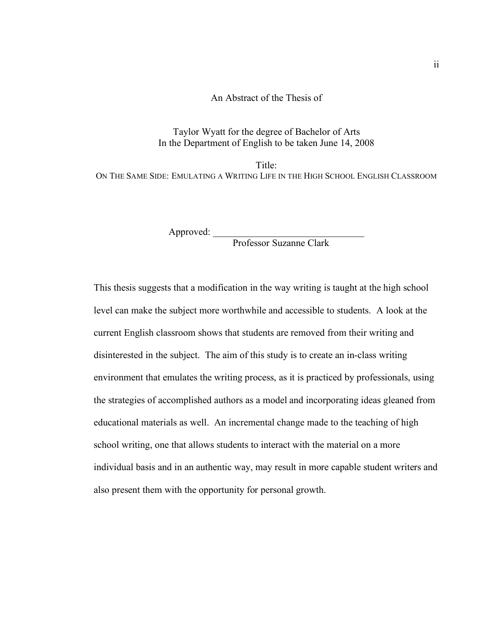An Abstract of the Thesis of

Taylor Wyatt for the degree of Bachelor of Arts In the Department of English to be taken June 14, 2008

Title<sup>-</sup> ON THE SAME SIDE: EMULATING A WRITING LIFE IN THE HIGH SCHOOL ENGLISH CLASSROOM

Approved:

Professor Suzanne Clark

This thesis suggests that a modification in the way writing is taught at the high school level can make the subject more worthwhile and accessible to students. A look at the current English classroom shows that students are removed from their writing and disinterested in the subject. The aim of this study is to create an in-class writing environment that emulates the writing process, as it is practiced by professionals, using the strategies of accomplished authors as a model and incorporating ideas gleaned from educational materials as well. An incremental change made to the teaching of high school writing, one that allows students to interact with the material on a more individual basis and in an authentic way, may result in more capable student writers and also present them with the opportunity for personal growth.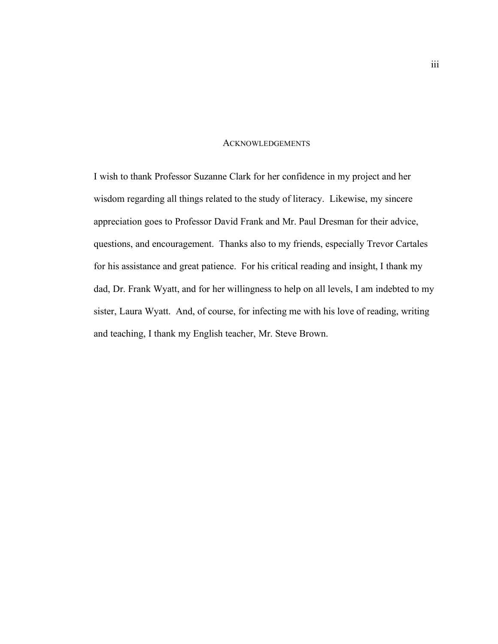## **ACKNOWLEDGEMENTS**

I wish to thank Professor Suzanne Clark for her confidence in my project and her wisdom regarding all things related to the study of literacy. Likewise, my sincere appreciation goes to Professor David Frank and Mr. Paul Dresman for their advice, questions, and encouragement. Thanks also to my friends, especially Trevor Cartales for his assistance and great patience. For his critical reading and insight, I thank my dad, Dr. Frank Wyatt, and for her willingness to help on all levels, I am indebted to my sister, Laura Wyatt. And, of course, for infecting me with his love of reading, writing and teaching, I thank my English teacher, Mr. Steve Brown.